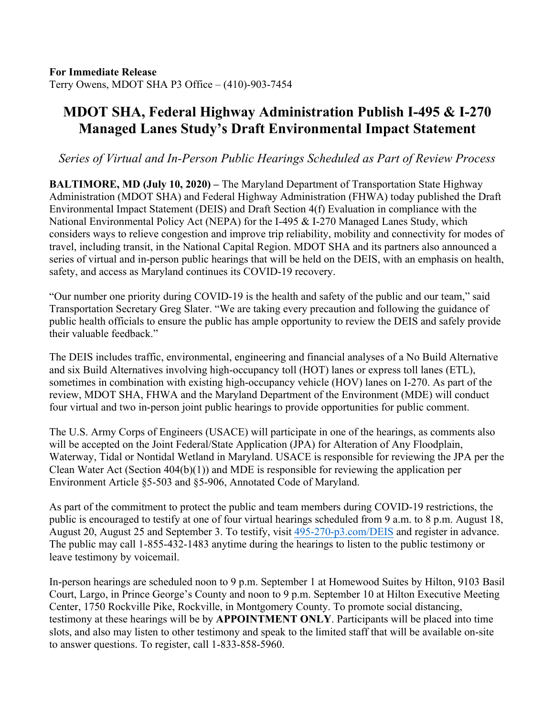## **MDOT SHA, Federal Highway Administration Publish I-495 & I-270 Managed Lanes Study's Draft Environmental Impact Statement**

*Series of Virtual and In-Person Public Hearings Scheduled as Part of Review Process*

**BALTIMORE, MD (July 10, 2020) –** The Maryland Department of Transportation State Highway Administration (MDOT SHA) and Federal Highway Administration (FHWA) today published the Draft Environmental Impact Statement (DEIS) and Draft Section 4(f) Evaluation in compliance with the National Environmental Policy Act (NEPA) for the I-495 & I-270 Managed Lanes Study, which considers ways to relieve congestion and improve trip reliability, mobility and connectivity for modes of travel, including transit, in the National Capital Region. MDOT SHA and its partners also announced a series of virtual and in-person public hearings that will be held on the DEIS, with an emphasis on health, safety, and access as Maryland continues its COVID-19 recovery.

"Our number one priority during COVID-19 is the health and safety of the public and our team," said Transportation Secretary Greg Slater. "We are taking every precaution and following the guidance of public health officials to ensure the public has ample opportunity to review the DEIS and safely provide their valuable feedback."

The DEIS includes traffic, environmental, engineering and financial analyses of a No Build Alternative and six Build Alternatives involving high-occupancy toll (HOT) lanes or express toll lanes (ETL), sometimes in combination with existing high-occupancy vehicle (HOV) lanes on I-270. As part of the review, MDOT SHA, FHWA and the Maryland Department of the Environment (MDE) will conduct four virtual and two in-person joint public hearings to provide opportunities for public comment.

The U.S. Army Corps of Engineers (USACE) will participate in one of the hearings, as comments also will be accepted on the Joint Federal/State Application (JPA) for Alteration of Any Floodplain, Waterway, Tidal or Nontidal Wetland in Maryland. USACE is responsible for reviewing the JPA per the Clean Water Act (Section 404(b)(1)) and MDE is responsible for reviewing the application per Environment Article §5-503 and §5-906, Annotated Code of Maryland.

As part of the commitment to protect the public and team members during COVID-19 restrictions, the public is encouraged to testify at one of four virtual hearings scheduled from 9 a.m. to 8 p.m. August 18, August 20, August 25 and September 3. To testify, visit 495-270-p3.com/DEIS and register in advance. The public may call 1-855-432-1483 anytime during the hearings to listen to the public testimony or leave testimony by voicemail.

In-person hearings are scheduled noon to 9 p.m. September 1 at Homewood Suites by Hilton, 9103 Basil Court, Largo, in Prince George's County and noon to 9 p.m. September 10 at Hilton Executive Meeting Center, 1750 Rockville Pike, Rockville, in Montgomery County. To promote social distancing, testimony at these hearings will be by **APPOINTMENT ONLY**. Participants will be placed into time slots, and also may listen to other testimony and speak to the limited staff that will be available on-site to answer questions. To register, call 1-833-858-5960.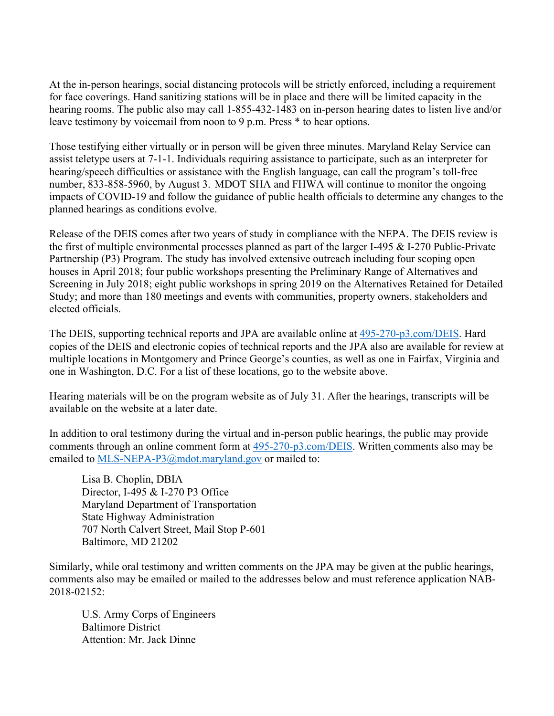At the in-person hearings, social distancing protocols will be strictly enforced, including a requirement for face coverings. Hand sanitizing stations will be in place and there will be limited capacity in the hearing rooms. The public also may call 1-855-432-1483 on in-person hearing dates to listen live and/or leave testimony by voicemail from noon to 9 p.m. Press \* to hear options.

Those testifying either virtually or in person will be given three minutes. Maryland Relay Service can assist teletype users at 7-1-1. Individuals requiring assistance to participate, such as an interpreter for hearing/speech difficulties or assistance with the English language, can call the program's toll-free number, 833-858-5960, by August 3. MDOT SHA and FHWA will continue to monitor the ongoing impacts of COVID-19 and follow the guidance of public health officials to determine any changes to the planned hearings as conditions evolve.

Release of the DEIS comes after two years of study in compliance with the NEPA. The DEIS review is the first of multiple environmental processes planned as part of the larger I-495 & I-270 Public-Private Partnership (P3) Program. The study has involved extensive outreach including four scoping open houses in April 2018; four public workshops presenting the Preliminary Range of Alternatives and Screening in July 2018; eight public workshops in spring 2019 on the Alternatives Retained for Detailed Study; and more than 180 meetings and events with communities, property owners, stakeholders and elected officials.

The DEIS, supporting technical reports and JPA are available online at 495-270-p3.com/DEIS. Hard copies of the DEIS and electronic copies of technical reports and the JPA also are available for review at multiple locations in Montgomery and Prince George's counties, as well as one in Fairfax, Virginia and one in Washington, D.C. For a list of these locations, go to the website above.

Hearing materials will be on the program website as of July 31. After the hearings, transcripts will be available on the website at a later date.

In addition to oral testimony during the virtual and in-person public hearings, the public may provide comments through an online comment form at 495-270-p3.com/DEIS. Written comments also may be emailed to MLS-NEPA-P3@mdot.maryland.gov or mailed to:

Lisa B. Choplin, DBIA Director, I-495 & I-270 P3 Office Maryland Department of Transportation State Highway Administration 707 North Calvert Street, Mail Stop P-601 Baltimore, MD 21202

Similarly, while oral testimony and written comments on the JPA may be given at the public hearings, comments also may be emailed or mailed to the addresses below and must reference application NAB-2018-02152:

U.S. Army Corps of Engineers Baltimore District Attention: Mr. Jack Dinne